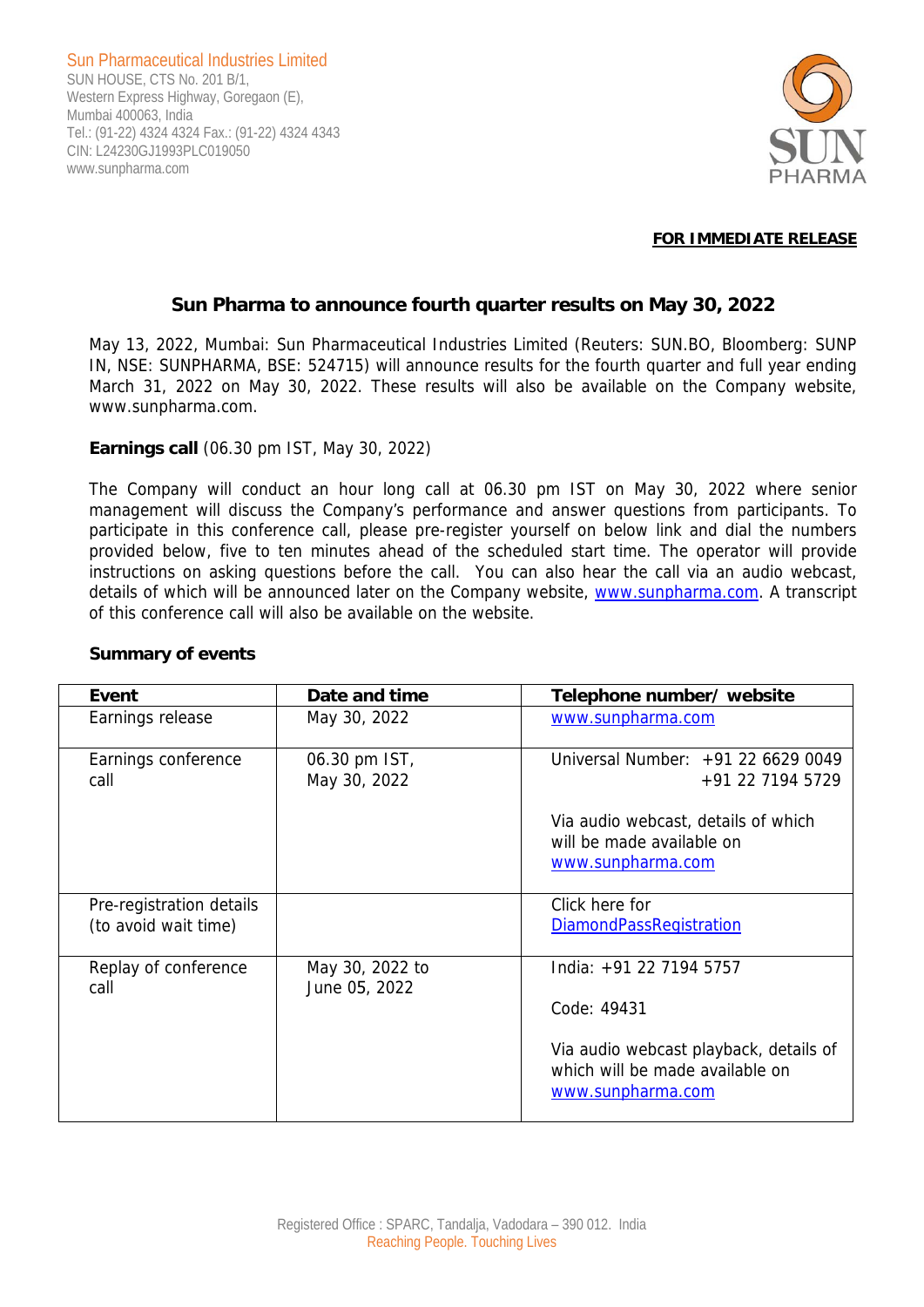Sun Pharmaceutical Industries Limited SUN HOUSE, CTS No. 201 B/1, Western Express Highway, Goregaon (E), Mumbai 400063, India Tel.: (91-22) 4324 4324 Fax.: (91-22) 4324 4343 CIN: L24230GJ1993PLC019050 www.sunpharma.com



### **FOR IMMEDIATE RELEASE**

# **Sun Pharma to announce fourth quarter results on May 30, 2022**

May 13, 2022, Mumbai: Sun Pharmaceutical Industries Limited (Reuters: SUN.BO, Bloomberg: SUNP IN, NSE: SUNPHARMA, BSE: 524715) will announce results for the fourth quarter and full year ending March 31, 2022 on May 30, 2022. These results will also be available on the Company website, www.sunpharma.com.

## **Earnings call** (06.30 pm IST, May 30, 2022)

The Company will conduct an hour long call at 06.30 pm IST on May 30, 2022 where senior management will discuss the Company's performance and answer questions from participants. To participate in this conference call, please pre-register yourself on below link and dial the numbers provided below, five to ten minutes ahead of the scheduled start time. The operator will provide instructions on asking questions before the call. You can also hear the call via an audio webcast, details of which will be announced later on the Company website, www.sunpharma.com. A transcript of this conference call will also be available on the website.

| Event                                            | Date and time                    | Telephone number/ website                                                                      |
|--------------------------------------------------|----------------------------------|------------------------------------------------------------------------------------------------|
| Earnings release                                 | May 30, 2022                     | www.sunpharma.com                                                                              |
| Earnings conference<br>call                      | 06.30 pm IST,<br>May 30, 2022    | Universal Number: +91 22 6629 0049<br>+91 22 7194 5729                                         |
|                                                  |                                  | Via audio webcast, details of which<br>will be made available on<br>www.sunpharma.com          |
| Pre-registration details<br>(to avoid wait time) |                                  | Click here for<br><b>DiamondPassRegistration</b>                                               |
| Replay of conference<br>call                     | May 30, 2022 to<br>June 05, 2022 | India: +91 22 7194 5757                                                                        |
|                                                  |                                  | Code: 49431                                                                                    |
|                                                  |                                  | Via audio webcast playback, details of<br>which will be made available on<br>www.sunpharma.com |

## **Summary of events**